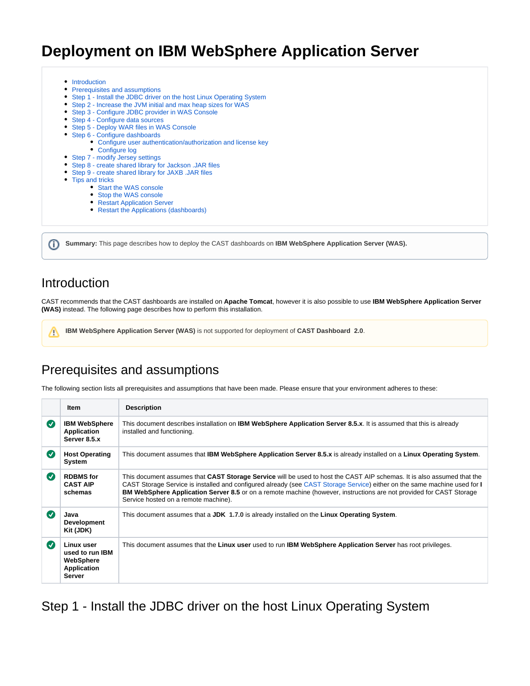# **Deployment on IBM WebSphere Application Server**

- [Introduction](#page-0-0)
- [Prerequisites and assumptions](#page-0-1)
- [Step 1 Install the JDBC driver on the host Linux Operating System](#page-0-2)
- [Step 2 Increase the JVM initial and max heap sizes for WAS](#page-1-0)
- [Step 3 Configure JDBC provider in WAS Console](#page-2-0)
- [Step 4 Configure data sources](#page-2-1)
- [Step 5 Deploy WAR files in WAS Console](#page-3-0)
- [Step 6 Configure dashboards](#page-7-0)
	- [Configure user authentication/authorization and license key](#page-8-0)
	- [Configure log](#page-8-1)
- [Step 7 modify Jersey settings](#page-8-2)
- [Step 8 create shared library for Jackson .JAR files](#page-8-3)
- [Step 9 create shared library for JAXB .JAR files](#page-10-0)
- [Tips and tricks](#page-11-0)
	- [Start the WAS console](#page-11-1)
	- [Stop the WAS console](#page-11-2)
	- [Restart Application Server](#page-11-3)
	- [Restart the Applications \(dashboards\)](#page-11-4)

**Summary:** This page describes how to deploy the CAST dashboards on **IBM WebSphere Application Server (WAS).**

## <span id="page-0-0"></span>**Introduction**

ന

Λ

CAST recommends that the CAST dashboards are installed on **Apache Tomcat**, however it is also possible to use **IBM WebSphere Application Server (WAS)** instead. The following page describes how to perform this installation.

**IBM WebSphere Application Server (WAS)** is not supported for deployment of **CAST Dashboard 2.0**.

# <span id="page-0-1"></span>Prerequisites and assumptions

The following section lists all prerequisites and assumptions that have been made. Please ensure that your environment adheres to these:

|                          | <b>Item</b>                                                                       | <b>Description</b>                                                                                                                                                                                                                                                                                                                                                                                                        |
|--------------------------|-----------------------------------------------------------------------------------|---------------------------------------------------------------------------------------------------------------------------------------------------------------------------------------------------------------------------------------------------------------------------------------------------------------------------------------------------------------------------------------------------------------------------|
| $\boldsymbol{\sigma}$    | <b>IBM WebSphere</b><br>Application<br>Server 8.5.x                               | This document describes installation on <b>IBM WebSphere Application Server 8.5.x</b> . It is assumed that this is already<br>installed and functioning.                                                                                                                                                                                                                                                                  |
| $\overline{\mathcal{S}}$ | <b>Host Operating</b><br>System                                                   | This document assumes that IBM WebSphere Application Server 8.5.x is already installed on a Linux Operating System.                                                                                                                                                                                                                                                                                                       |
| Ø                        | <b>RDBMS</b> for<br><b>CAST AIP</b><br>schemas                                    | This document assumes that CAST Storage Service will be used to host the CAST AIP schemas. It is also assumed that the<br>CAST Storage Service is installed and configured already (see CAST Storage Service) either on the same machine used for I<br><b>BM WebSphere Application Server 8.5</b> or on a remote machine (however, instructions are not provided for CAST Storage<br>Service hosted on a remote machine). |
| (√                       | Java<br><b>Development</b><br>Kit (JDK)                                           | This document assumes that a JDK 1.7.0 is already installed on the Linux Operating System.                                                                                                                                                                                                                                                                                                                                |
| (√                       | Linux user<br>used to run IBM<br>WebSphere<br><b>Application</b><br><b>Server</b> | This document assumes that the Linux user used to run IBM WebSphere Application Server has root privileges.                                                                                                                                                                                                                                                                                                               |

<span id="page-0-2"></span>Step 1 - Install the JDBC driver on the host Linux Operating System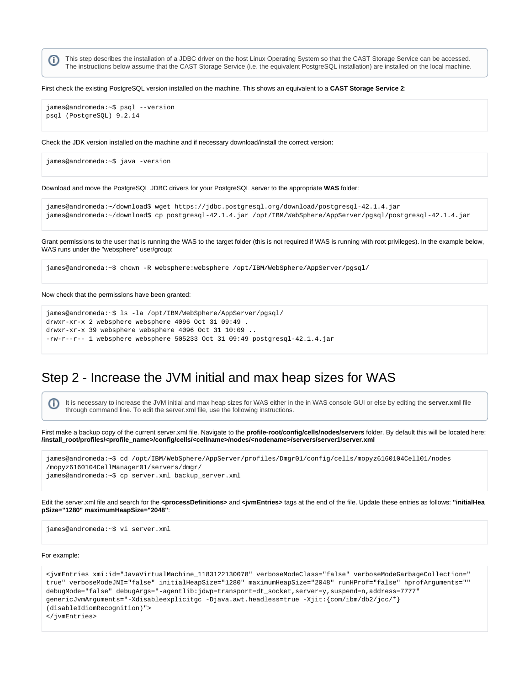This step describes the installation of a JDBC driver on the host Linux Operating System so that the CAST Storage Service can be accessed. O) The instructions below assume that the CAST Storage Service (i.e. the equivalent PostgreSQL installation) are installed on the local machine.

#### First check the existing PostgreSQL version installed on the machine. This shows an equivalent to a **CAST Storage Service 2**:

james@andromeda:~\$ psql --version psql (PostgreSQL) 9.2.14

Check the JDK version installed on the machine and if necessary download/install the correct version:

james@andromeda:~\$ java -version

Download and move the PostgreSQL JDBC drivers for your PostgreSQL server to the appropriate **WAS** folder:

```
james@andromeda:~/download$ wget https://jdbc.postgresql.org/download/postgresql-42.1.4.jar
james@andromeda:~/download$ cp postgresql-42.1.4.jar /opt/IBM/WebSphere/AppServer/pgsql/postgresql-42.1.4.jar
```
Grant permissions to the user that is running the WAS to the target folder (this is not required if WAS is running with root privileges). In the example below, WAS runs under the "websphere" user/group:

```
james@andromeda:~$ chown -R websphere:websphere /opt/IBM/WebSphere/AppServer/pgsql/
```
#### Now check that the permissions have been granted:

```
james@andromeda:~$ ls -la /opt/IBM/WebSphere/AppServer/pgsql/
drwxr-xr-x 2 websphere websphere 4096 Oct 31 09:49 .
drwxr-xr-x 39 websphere websphere 4096 Oct 31 10:09 ..
-rw-r--r-- 1 websphere websphere 505233 Oct 31 09:49 postgresql-42.1.4.jar
```
## <span id="page-1-0"></span>Step 2 - Increase the JVM initial and max heap sizes for WAS

It is necessary to increase the JVM initial and max heap sizes for WAS either in the in WAS console GUI or else by editing the **server.xml** file (ï) through command line. To edit the server.xml file, use the following instructions.

First make a backup copy of the current server.xml file. Navigate to the **profile-root/config/cells/nodes/servers** folder. By default this will be located here: **/install\_root/profiles/<profile\_name>/config/cells/<cellname>/nodes/<nodename>/servers/server1/server.xml**

| james@andromeda:~\$ cd /opt/IBM/WebSphere/AppServer/profiles/Dmgr01/config/cells/mopyz6160104Cell01/nodes |
|-----------------------------------------------------------------------------------------------------------|
| /mopyz6160104CellManager01/servers/dmgr/                                                                  |
| james@andromeda:~\$ cp server.xml backup server.xml                                                       |

Edit the server.xml file and search for the **<processDefinitions>** and **<jvmEntries>** tags at the end of the file. Update these entries as follows: **"initialHea pSize="1280" maximumHeapSize="2048"**:

james@andromeda:~\$ vi server.xml

#### For example:

```
<jvmEntries xmi:id="JavaVirtualMachine_1183122130078" verboseModeClass="false" verboseModeGarbageCollection="
true" verboseModeJNI="false" initialHeapSize="1280" maximumHeapSize="2048" runHProf="false" hprofArguments="" 
debugMode="false" debugArgs="-agentlib:jdwp=transport=dt_socket,server=y,suspend=n,address=7777" 
genericJvmArguments="-Xdisableexplicitgc -Djava.awt.headless=true -Xjit:{com/ibm/db2/jcc/*}
(disableIdiomRecognition)">
</jvmEntries>
```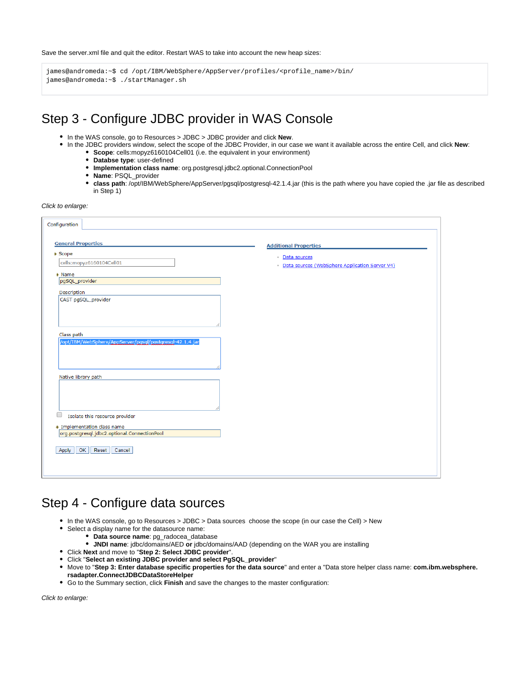Save the server.xml file and quit the editor. Restart WAS to take into account the new heap sizes:

james@andromeda:~\$ cd /opt/IBM/WebSphere/AppServer/profiles/<profile\_name>/bin/ james@andromeda:~\$ ./startManager.sh

# <span id="page-2-0"></span>Step 3 - Configure JDBC provider in WAS Console

- In the WAS console, go to Resources > JDBC > JDBC provider and click **New**.
- In the JDBC providers window, select the scope of the JDBC Provider, in our case we want it available across the entire Cell, and click **New**: **Scope**: cells:mopyz6160104Cell01 (i.e. the equivalent in your environment)
	- **Databse type**: user-defined
	- **Implementation class name**: org.postgresql.jdbc2.optional.ConnectionPool
	- **Name**: PSQL\_provider
	- **class path**: /opt/IBM/WebSphere/AppServer/pgsql/postgresql-42.1.4.jar (this is the path where you have copied the .jar file as described in Step 1)

Click to enlarge:

| Configuration                                                               |                                                  |
|-----------------------------------------------------------------------------|--------------------------------------------------|
|                                                                             |                                                  |
| <b>General Properties</b>                                                   | <b>Additional Properties</b>                     |
| <b>← Scope</b>                                                              | Data sources                                     |
| cells:mopyz6160104Cell01                                                    | - Data sources (WebSphere Application Server V4) |
| * Name                                                                      |                                                  |
| pgSQL_provider                                                              |                                                  |
| Description                                                                 |                                                  |
| CAST pgSQL_provider                                                         |                                                  |
| Class path                                                                  |                                                  |
| /opt/IBM/WebSphere/AppServer/pasal/postaresal-42.1.4.jar                    |                                                  |
| Native library path                                                         |                                                  |
|                                                                             |                                                  |
| u<br>Isolate this resource provider                                         |                                                  |
| # Implementation class name<br>org.postgresql.jdbc2.optional.ConnectionPool |                                                  |
| OK<br>Reset<br>Cancel<br>Apply                                              |                                                  |
|                                                                             |                                                  |

## <span id="page-2-1"></span>Step 4 - Configure data sources

- In the WAS console, go to Resources > JDBC > Data sources choose the scope (in our case the Cell) > New
- Select a display name for the datasource name:
	- **Data source name**: pg\_radocea\_database
	- **JNDI name**: jdbc/domains/AED **or** jdbc/domains/AAD (depending on the WAR you are installing
- Click **Next** and move to "**Step 2: Select JDBC provider**".
- Click "**Select an existing JDBC provider and select PgSQL\_provider**"
- Move to "**Step 3: Enter database specific properties for the data source**" and enter a "Data store helper class name: **com.ibm.websphere.**
- **rsadapter.ConnectJDBCDataStoreHelper**
- Go to the Summary section, click **Finish** and save the changes to the master configuration: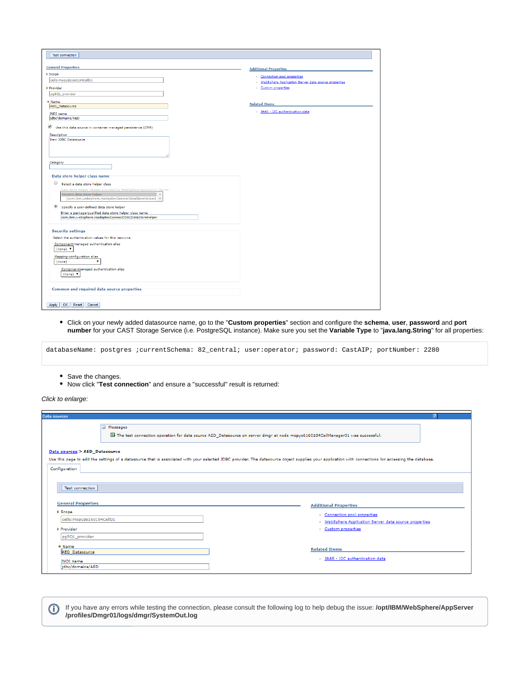| <b>Test connection</b>                                                                                                                                                                                                                                                                                                                                                                                                 |                                                                                                        |
|------------------------------------------------------------------------------------------------------------------------------------------------------------------------------------------------------------------------------------------------------------------------------------------------------------------------------------------------------------------------------------------------------------------------|--------------------------------------------------------------------------------------------------------|
| <b>General Properties</b>                                                                                                                                                                                                                                                                                                                                                                                              | <b>Additional Properties</b>                                                                           |
| + Scope<br>cells: mopyz6160104Cell01<br># Provider<br>pgSQL_provider                                                                                                                                                                                                                                                                                                                                                   | Connection pool properties<br>WebSphere Application Server data source properties<br>Custom properties |
| * Name<br>AED Datasource<br><b>JNDI</b> name<br>jdbc/domains/AED<br>✔<br>Use this data source in container managed persistence (CMP)                                                                                                                                                                                                                                                                                   | <b>Related Items</b><br>JAAS - J2C authentication data                                                 |
| Description<br>New JDBC Datasource<br>Category                                                                                                                                                                                                                                                                                                                                                                         |                                                                                                        |
| Data store helper class name<br>$\odot$<br>Select a data store helper class<br>Data store helper classes provided by WebSphere Application Server<br>Generic data store helper<br>(com.ibm.websphere.rsadapter.GenericDataStoreHelper) v<br>$^{\circ}$<br>Specify a user-defined data store helper<br>Enter a package-qualified data store helper class name<br>com.ibm.websphere.rsadapter.ConnectJDBCDataStoreHelper |                                                                                                        |
| <b>Security settings</b><br>Select the authentication values for this resource.<br>Component-managed authentication alias<br>$(none)$ $\blacktriangledown$<br>Mapping-configuration alias<br>۷.<br>(none)<br>Container-managed authentication alias<br>$(\text{none})$ $\blacktriangledown$                                                                                                                            |                                                                                                        |
| Common and required data source properties<br>OK<br>Reset<br>Cancel<br>Apply                                                                                                                                                                                                                                                                                                                                           |                                                                                                        |

Click on your newly added datasource name, go to the "**Custom properties**" section and configure the **schema**, **user**, **password** and **port number** for your CAST Storage Service (i.e. PostgreSQL instance). Make sure you set the **Variable Type** to "**java.lang.String**" for all properties:

|  | databaseName: postgres ;currentSchema: 82_central; user:operator; password: CastAIP; portNumber: 2280 |  |  |  |
|--|-------------------------------------------------------------------------------------------------------|--|--|--|
|  |                                                                                                       |  |  |  |

- Save the changes.
- Now click "**Test connection**" and ensure a "successful" result is returned:

Click to enlarge:

| <b>Data sources</b>                                                                                                                                                                                                                                    |                                                                                                                                          |  |  |  |  |  |  |  |
|--------------------------------------------------------------------------------------------------------------------------------------------------------------------------------------------------------------------------------------------------------|------------------------------------------------------------------------------------------------------------------------------------------|--|--|--|--|--|--|--|
| $\qquad \qquad \blacksquare$<br>Messages<br>LI The test connection operation for data source AED_Datasource on server dmgr at node mopyz6160104CellManager01 was successful.                                                                           |                                                                                                                                          |  |  |  |  |  |  |  |
| Data sources > AED_Datasource<br>Use this page to edit the settings of a datasource that is associated with your selected JDBC provider. The datasource object supplies your application with connections for accessing the database.<br>Configuration |                                                                                                                                          |  |  |  |  |  |  |  |
| <b>Test connection</b><br><b>General Properties</b>                                                                                                                                                                                                    |                                                                                                                                          |  |  |  |  |  |  |  |
| * Scope<br>cells: mopyz6160104Cell01<br>* Provider<br>pgSQL_provider                                                                                                                                                                                   | <b>Additional Properties</b><br>Connection pool properties<br>· WebSphere Application Server data source properties<br>Custom properties |  |  |  |  |  |  |  |
| * Name<br><b>AED</b> Datasource<br>JNDI name<br>idbc/domains/AED                                                                                                                                                                                       | <b>Related Items</b><br>JAAS - J2C authentication data                                                                                   |  |  |  |  |  |  |  |

If you have any errors while testing the connection, please consult the following log to help debug the issue: **/opt/IBM/WebSphere/AppServer /profiles/Dmgr01/logs/dmgr/SystemOut.log**

<span id="page-3-0"></span>⊙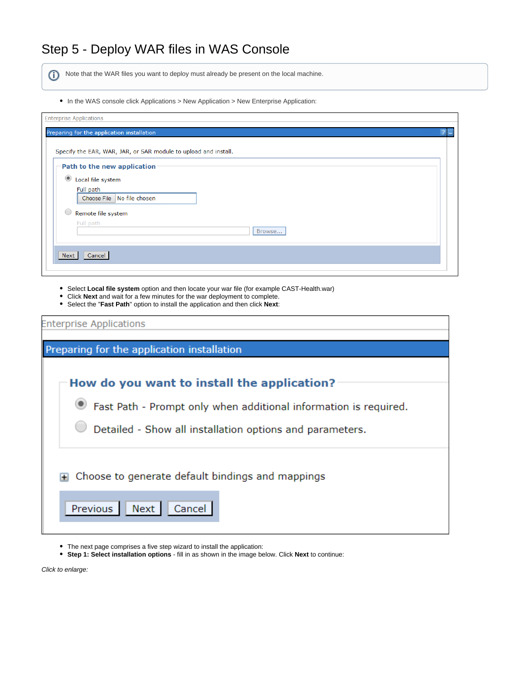# Step 5 - Deploy WAR files in WAS Console

(i) Note that the WAR files you want to deploy must already be present on the local machine.

In the WAS console click Applications > New Application > New Enterprise Application:

- Select **Local file system** option and then locate your war file (for example CAST-Health.war)
- Click **Next** and wait for a few minutes for the war deployment to complete.
- Select the "**Fast Path**" option to install the application and then click **Next**:

| <b>Enterprise Applications</b>                                                                                                                                              |
|-----------------------------------------------------------------------------------------------------------------------------------------------------------------------------|
| Preparing for the application installation                                                                                                                                  |
| How do you want to install the application?<br>Fast Path - Prompt only when additional information is required.<br>Detailed - Show all installation options and parameters. |
| Choose to generate default bindings and mappings<br><b>Previous</b><br>Next<br>Cancel                                                                                       |

- The next page comprises a five step wizard to install the application:
- **Step 1: Select installation options** fill in as shown in the image below. Click **Next** to continue: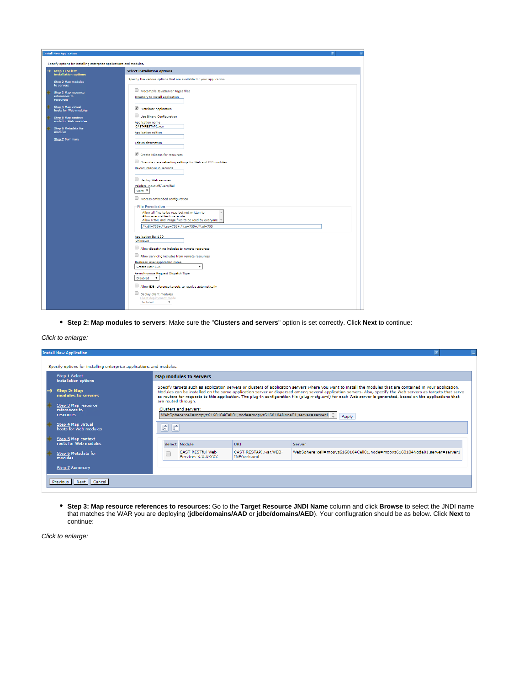| <b>Install New Application</b>                                      |                                                                                                                                                                                                             |  |  |  |  |  |  |
|---------------------------------------------------------------------|-------------------------------------------------------------------------------------------------------------------------------------------------------------------------------------------------------------|--|--|--|--|--|--|
| Specify options for installing enterprise applications and modules. |                                                                                                                                                                                                             |  |  |  |  |  |  |
| $\rightarrow$ Step 1: Select<br>installation options                | <b>Select installation options</b>                                                                                                                                                                          |  |  |  |  |  |  |
| <b>Step 2 Map modules</b><br>to servers                             | Specify the various options that are available for your application.                                                                                                                                        |  |  |  |  |  |  |
| Step 3 Map resource<br>references to<br>resources                   | Precompile JavaServer Pages files<br>Directory to install application                                                                                                                                       |  |  |  |  |  |  |
| Step 4 Map virtual<br>hosts for Web modules                         | Distribute application                                                                                                                                                                                      |  |  |  |  |  |  |
| Step 5 Map context<br>roots for Web modules                         | Use Binary Configuration<br>Application name<br>CAST-RESTAPI_war                                                                                                                                            |  |  |  |  |  |  |
| Step 6 Metadata for<br>modules                                      | Application edition                                                                                                                                                                                         |  |  |  |  |  |  |
| <b>Step 7 Summary</b>                                               | <b>Edition description</b>                                                                                                                                                                                  |  |  |  |  |  |  |
|                                                                     | Create MBeans for resources                                                                                                                                                                                 |  |  |  |  |  |  |
|                                                                     | Override class reloading settings for Web and EJB modules<br>Reload interval in seconds                                                                                                                     |  |  |  |  |  |  |
|                                                                     | Deploy Web services                                                                                                                                                                                         |  |  |  |  |  |  |
|                                                                     | Validate Input off/warn/fail<br>warn v                                                                                                                                                                      |  |  |  |  |  |  |
|                                                                     | Process embedded configuration                                                                                                                                                                              |  |  |  |  |  |  |
|                                                                     | <b>File Permission</b><br>Allow all files to be read but not written to<br>Allow executables to execute<br>Allow HTML and image files to be read by everyone<br>.*\.dll=755#.*\.so=755#.*\.a=755#.*\.sl=755 |  |  |  |  |  |  |
|                                                                     | <b>Application Build ID</b><br>Unknown                                                                                                                                                                      |  |  |  |  |  |  |
|                                                                     | Allow dispatching includes to remote resources                                                                                                                                                              |  |  |  |  |  |  |
|                                                                     | Allow servicing includes from remote resources<br>Business level application name<br>$\mathbf v$<br>Create New BLA                                                                                          |  |  |  |  |  |  |
|                                                                     | Asynchronous Request Dispatch Type<br>Disabled<br>$\pmb{\mathrm{v}}$                                                                                                                                        |  |  |  |  |  |  |
|                                                                     | Allow EJB reference targets to resolve automatically                                                                                                                                                        |  |  |  |  |  |  |
|                                                                     | Deploy client modules<br>Client deployment mode<br>Isolated<br>$\overline{\mathbf{v}}$                                                                                                                      |  |  |  |  |  |  |

**Step 2: Map modules to servers**: Make sure the "**Clusters and servers**" option is set correctly. Click **Next** to continue:

### Click to enlarge:

| <b>Install New Application</b>                                                                     |                                                                                                                                                                                                                                                                                                                                                                                                                                                                                                                                                                                                                                                                                             |                                      |                                                                          |  |  |  |  |
|----------------------------------------------------------------------------------------------------|---------------------------------------------------------------------------------------------------------------------------------------------------------------------------------------------------------------------------------------------------------------------------------------------------------------------------------------------------------------------------------------------------------------------------------------------------------------------------------------------------------------------------------------------------------------------------------------------------------------------------------------------------------------------------------------------|--------------------------------------|--------------------------------------------------------------------------|--|--|--|--|
| Specify options for installing enterprise applications and modules.                                |                                                                                                                                                                                                                                                                                                                                                                                                                                                                                                                                                                                                                                                                                             |                                      |                                                                          |  |  |  |  |
| Step 1 Select<br>installation options                                                              | Map modules to servers                                                                                                                                                                                                                                                                                                                                                                                                                                                                                                                                                                                                                                                                      |                                      |                                                                          |  |  |  |  |
| Step 2: Map<br>→<br>modules to servers<br>Step 3 Map resource<br>references to<br><b>resources</b> | Specify targets such as application servers or clusters of application servers where you want to install the modules that are contained in your application.<br>Modules can be installed on the same application server or dispersed among several application servers. Also, specify the Web servers as targets that serve<br>as routers for requests to this application. The plug-in configuration file (plugin-cfg.xml) for each Web server is generated, based on the applications that<br>are routed through.<br>Clusters and servers:<br>WebSphere:cell=mopyz6160104Cell01,node=mopyz6160104Node01,server=server1 <sup>4</sup><br>Apply<br>$\overline{\mathbb{G}}$<br>$\blacksquare$ |                                      |                                                                          |  |  |  |  |
| Step 4 Map virtual<br>hosts for Web modules                                                        |                                                                                                                                                                                                                                                                                                                                                                                                                                                                                                                                                                                                                                                                                             |                                      |                                                                          |  |  |  |  |
| Step 5 Map context<br>roots for Web modules                                                        | Select Module                                                                                                                                                                                                                                                                                                                                                                                                                                                                                                                                                                                                                                                                               | <b>URI</b>                           | Server                                                                   |  |  |  |  |
| Step 6 Metadata for<br>modules                                                                     | CAST RESTful Web<br>Services X.X.X-XXX                                                                                                                                                                                                                                                                                                                                                                                                                                                                                                                                                                                                                                                      | CAST-RESTAPI.war.WEB-<br>INF/web.xml | WebSphere:cell=mopyz6160104Cell01,node=mopyz6160104Node01,server=server1 |  |  |  |  |
| <b>Step 7 Summary</b>                                                                              |                                                                                                                                                                                                                                                                                                                                                                                                                                                                                                                                                                                                                                                                                             |                                      |                                                                          |  |  |  |  |
| Previous Next Cancel                                                                               |                                                                                                                                                                                                                                                                                                                                                                                                                                                                                                                                                                                                                                                                                             |                                      |                                                                          |  |  |  |  |

**Step 3: Map resource references to resources**: Go to the **Target Resource JNDI Name** column and click **Browse** to select the JNDI name that matches the WAR you are deploying (**jdbc/domains/AAD** or **jdbc/domains/AED**). Your confiugration should be as below. Click **Next** to continue: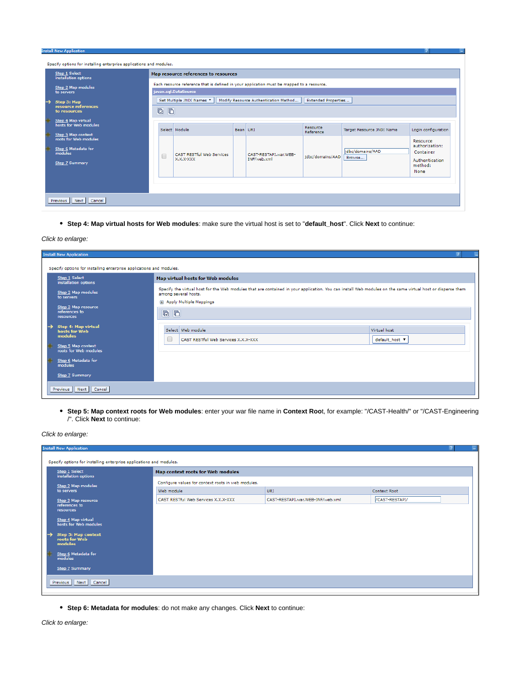| Step 1 Select<br>Map resource references to resources<br>installation options |                                             |  |        |                                                                                           |          |                                       |                       |                           |                                  |
|-------------------------------------------------------------------------------|---------------------------------------------|--|--------|-------------------------------------------------------------------------------------------|----------|---------------------------------------|-----------------------|---------------------------|----------------------------------|
|                                                                               | Step 2 Map modules                          |  |        | Each resource reference that is defined in your application must be mapped to a resource. |          |                                       |                       |                           |                                  |
|                                                                               | to servers                                  |  |        | javax.sql.DataSource                                                                      |          |                                       |                       |                           |                                  |
| →                                                                             | Step 3: Map                                 |  |        | Set Multiple JNDI Names                                                                   |          | Modify Resource Authentication Method | Extended Properties   |                           |                                  |
|                                                                               | resource references<br>to resources         |  |        |                                                                                           |          |                                       |                       |                           |                                  |
|                                                                               | Step 4 Map virtual                          |  |        |                                                                                           |          |                                       |                       |                           |                                  |
|                                                                               | hosts for Web modules                       |  |        | Select Module                                                                             | Bean URI |                                       | Resource<br>Reference | Target Resource JNDI Name | Login configuration              |
|                                                                               | Step 5 Map context<br>roots for Web modules |  |        |                                                                                           |          |                                       |                       |                           | Resource                         |
|                                                                               | Step 6 Metadata for                         |  |        |                                                                                           |          |                                       |                       | idbc/domains/AAD          | authorization:                   |
|                                                                               | modules                                     |  | $\Box$ | CAST RESTful Web Services<br>X.X.X-XXX                                                    |          | CAST-RESTAPI.war.WEB-<br>INF/web.xml  | idbc/domains/AAD      | Browse                    | Container                        |
|                                                                               | <b>Step 7 Summary</b>                       |  |        |                                                                                           |          |                                       |                       |                           | <b>Authentication</b><br>method: |
|                                                                               |                                             |  |        |                                                                                           |          |                                       |                       |                           | None                             |
|                                                                               |                                             |  |        |                                                                                           |          |                                       |                       |                           |                                  |
|                                                                               |                                             |  |        |                                                                                           |          |                                       |                       |                           |                                  |

**Step 4: Map virtual hosts for Web modules**: make sure the virtual host is set to "**default\_host**". Click **Next** to continue:

### Click to enlarge:

| <b>Install New Application</b>                                                                                                                                                         |                                                                                                                                                                                                                  |                                |  |  |  |  |  |  |  |
|----------------------------------------------------------------------------------------------------------------------------------------------------------------------------------------|------------------------------------------------------------------------------------------------------------------------------------------------------------------------------------------------------------------|--------------------------------|--|--|--|--|--|--|--|
| Specify options for installing enterprise applications and modules.                                                                                                                    |                                                                                                                                                                                                                  |                                |  |  |  |  |  |  |  |
| Step 1 Select<br>installation options                                                                                                                                                  | Map virtual hosts for Web modules                                                                                                                                                                                |                                |  |  |  |  |  |  |  |
| Step 2 Map modules<br>to servers                                                                                                                                                       | Specify the virtual host for the Web modules that are contained in your application. You can install Web modules on the same virtual host or disperse them<br>among several hosts.<br>El Apply Multiple Mappings |                                |  |  |  |  |  |  |  |
| Step 3 Map resource<br>references to<br>$\begin{array}{c} \hline \begin{array}{ccc} \hline \hline \end{array} & \hline \begin{array}{ccc} \hline \end{array} \end{array}$<br>resources |                                                                                                                                                                                                                  |                                |  |  |  |  |  |  |  |
| <b>Step 4: Map virtual</b><br>→<br>hosts for Web<br>modules                                                                                                                            | Select Web module<br>CAST RESTful Web Services X.X.X-XXX                                                                                                                                                         | Virtual host<br>default_host V |  |  |  |  |  |  |  |
| Step 5 Map context<br>roots for Web modules                                                                                                                                            |                                                                                                                                                                                                                  |                                |  |  |  |  |  |  |  |
| Step 6 Metadata for<br><b>modules</b>                                                                                                                                                  |                                                                                                                                                                                                                  |                                |  |  |  |  |  |  |  |
| Step 7 Summary                                                                                                                                                                         |                                                                                                                                                                                                                  |                                |  |  |  |  |  |  |  |
| Previous Next Cancel                                                                                                                                                                   |                                                                                                                                                                                                                  |                                |  |  |  |  |  |  |  |

**Step 5: Map context roots for Web modules**: enter your war file name in **Context Roo**t, for example: "/CAST-Health/" or "/CAST-Engineering /". Click **Next** to continue:

### Click to enlarge:

| <b>Install New Application</b>                                      |                                                    |                                   |                |  |  |  |  |
|---------------------------------------------------------------------|----------------------------------------------------|-----------------------------------|----------------|--|--|--|--|
| Specify options for installing enterprise applications and modules. |                                                    |                                   |                |  |  |  |  |
| Step 1 Select<br>installation options                               | Map context roots for Web modules                  |                                   |                |  |  |  |  |
| Step 2 Map modules                                                  | Configure values for context roots in web modules. |                                   |                |  |  |  |  |
| to servers                                                          | Web module                                         | <b>URI</b>                        | Context Root   |  |  |  |  |
| Step 3 Map resource                                                 | CAST RESTful Web Services X.X.X-XXX                | CAST-RESTAPI.war, WEB-INF/web.xml | /CAST-RESTAPI/ |  |  |  |  |
| references to<br>resources                                          |                                                    |                                   |                |  |  |  |  |
| Step 4 Map virtual<br>hosts for Web modules                         |                                                    |                                   |                |  |  |  |  |
| <b>Step 5: Map context</b><br>→<br>roots for Web<br>modules         |                                                    |                                   |                |  |  |  |  |
| Step 6 Metadata for<br>modules                                      |                                                    |                                   |                |  |  |  |  |
| Step 7 Summary                                                      |                                                    |                                   |                |  |  |  |  |
| Previous Next Cancel                                                |                                                    |                                   |                |  |  |  |  |
|                                                                     |                                                    |                                   |                |  |  |  |  |

**Step 6: Metadata for modules**: do not make any changes. Click **Next** to continue: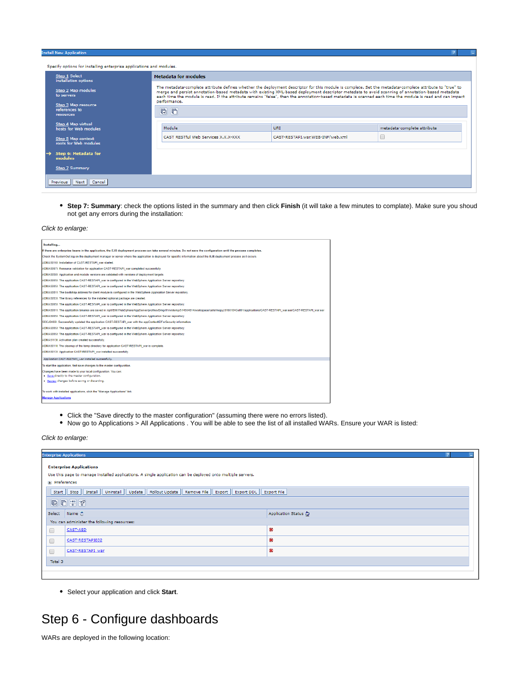#### tall New App

| Specify options for installing enterprise applications and modules. |                                                   |                                                                                                                                                                                                                                                                                                                                                                                                                                                                           |                                  |                             |  |  |  |  |  |
|---------------------------------------------------------------------|---------------------------------------------------|---------------------------------------------------------------------------------------------------------------------------------------------------------------------------------------------------------------------------------------------------------------------------------------------------------------------------------------------------------------------------------------------------------------------------------------------------------------------------|----------------------------------|-----------------------------|--|--|--|--|--|
|                                                                     | Step 1 Select<br>installation options             | <b>Metadata for modules</b>                                                                                                                                                                                                                                                                                                                                                                                                                                               |                                  |                             |  |  |  |  |  |
|                                                                     | Step 2 Map modules<br>to servers                  | The metadata-complete attribute defines whether the deployment descriptor for this module is complete. Set the metadata-complete attribute to "true" to<br>merge and persist annotation-based metadata with existing XML-based deployment descriptor metedata to avoid scanning of annotation-based metadata<br>each time the module is read. If the attribute remains "false", then the annotation-based metadata is scanned each time the module is read and can impact |                                  |                             |  |  |  |  |  |
|                                                                     | Step 3 Map resource<br>references to<br>resources | $\blacksquare$<br>$\blacksquare$                                                                                                                                                                                                                                                                                                                                                                                                                                          | performance.                     |                             |  |  |  |  |  |
|                                                                     | Step 4 Map virtual<br>hosts for Web modules       | Module                                                                                                                                                                                                                                                                                                                                                                                                                                                                    | <b>URI</b>                       | metadata-complete attribute |  |  |  |  |  |
|                                                                     | Step 5 Map context<br>roots for Web modules       | CAST RESTful Web Services X.X.X-XXX                                                                                                                                                                                                                                                                                                                                                                                                                                       | CAST-RESTAPI.war.WEB-INF/web.xml |                             |  |  |  |  |  |
|                                                                     | $\rightarrow$ Step 6: Metadata for<br>modules     |                                                                                                                                                                                                                                                                                                                                                                                                                                                                           |                                  |                             |  |  |  |  |  |
|                                                                     | <b>Step 7 Summary</b>                             |                                                                                                                                                                                                                                                                                                                                                                                                                                                                           |                                  |                             |  |  |  |  |  |
|                                                                     | Previous Next Cancel                              |                                                                                                                                                                                                                                                                                                                                                                                                                                                                           |                                  |                             |  |  |  |  |  |

**Step 7: Summary**: check the options listed in the summary and then click **Finish** (it will take a few minutes to complate). Make sure you shoud not get any errors during the installation:

#### Click to enlarge:

| Installing                                                                                                                                                                                               |
|----------------------------------------------------------------------------------------------------------------------------------------------------------------------------------------------------------|
| If there are enterprise beans in the application, the EJB deployment process can take several minutes. Do not save the configuration until the process completes.                                        |
| Check the SystemOut.log on the deployment manager or server where the application is deployed for specific information about the EJB deployment process as it occurs.                                    |
| ADMA5016I: Installation of CAST-RESTAPI war started.                                                                                                                                                     |
| ADMA5067I: Resource validation for application CAST-RESTAPI war completed successfully.                                                                                                                  |
| ADMA5058I: Application and module versions are validated with versions of deployment targets.                                                                                                            |
| ADMA5005I: The application CAST-RESTAPI war is configured in the WebSphere Application Server repository.                                                                                                |
| ADMA5005I: The application CAST-RESTAPI war is configured in the WebSphere Application Server repository.                                                                                                |
| ADMA5081I: The bootstrap address for client module is configured in the WebSphere Application Server repository.                                                                                         |
| ADMA5053I: The library references for the installed optional package are created.                                                                                                                        |
| ADMA5005I: The application CAST-RESTAPI war is configured in the WebSphere Application Server repository.                                                                                                |
| ADMA5001I: The application binaries are saved in /opt/IBM/WebSphere/AppServer/profiles/Dmgr01/wstemp/514564614/workspace/cells/mopyz6160104Cell01/applications/CAST-RESTAPI_war.ear/CAST-RESTAPI_war.ear |
| ADMA5005I: The application CAST-RESTAPI war is configured in the WebSphere Application Server repository.                                                                                                |
| SECJ0400I: Successfully updated the application CAST-RESTAPI war with the appContextIDForSecurity information.                                                                                           |
| ADMA5005I: The application CAST-RESTAPI_war is configured in the WebSphere Application Server repository.                                                                                                |
| ADMA5005I: The application CAST-RESTAPI war is configured in the WebSphere Application Server repository.                                                                                                |
| ADMA5113I: Activation plan created successfully.                                                                                                                                                         |
| ADMA5011I: The cleanup of the temp directory for application CAST-RESTAPI war is complete.                                                                                                               |
| ADMA5013I: Application CAST-RESTAPI war installed successfully.                                                                                                                                          |
| Application CAST-RESTAPI war installed successfully.                                                                                                                                                     |
| To start the application, first save changes to the master configuration.                                                                                                                                |
| Changes have been made to your local configuration. You can:                                                                                                                                             |
| Save directly to the master configuration.                                                                                                                                                               |
| Review changes before saving or discarding.                                                                                                                                                              |
| To work with installed applications, click the "Manage Applications" link.                                                                                                                               |
| <b>Manage Applications</b>                                                                                                                                                                               |

- Click the "Save directly to the master configuration" (assuming there were no errors listed).
- Now go to Applications > All Applications . You will be able to see the list of all installed WARs. Ensure your WAR is listed:

Click to enlarge:

|         | <b>Enterprise Applications</b>                                                                                                                                                                                                                                                                                                                      |                      |  |  |  |  |  |  |
|---------|-----------------------------------------------------------------------------------------------------------------------------------------------------------------------------------------------------------------------------------------------------------------------------------------------------------------------------------------------------|----------------------|--|--|--|--|--|--|
|         | <b>Enterprise Applications</b><br>Use this page to manage installed applications. A single application can be deployed onto multiple servers.<br><b>E</b> Preferences                                                                                                                                                                               |                      |  |  |  |  |  |  |
|         | Start   Stop   Install   Uninstall   Update   Rollout Update   Remove File   Export   Export DDL   Export File                                                                                                                                                                                                                                      |                      |  |  |  |  |  |  |
|         | $\begin{picture}(20,20) \put(0,0){\line(1,0){10}} \put(15,0){\line(1,0){10}} \put(15,0){\line(1,0){10}} \put(15,0){\line(1,0){10}} \put(15,0){\line(1,0){10}} \put(15,0){\line(1,0){10}} \put(15,0){\line(1,0){10}} \put(15,0){\line(1,0){10}} \put(15,0){\line(1,0){10}} \put(15,0){\line(1,0){10}} \put(15,0){\line(1,0){10}} \put(15,0){\line(1$ |                      |  |  |  |  |  |  |
|         | Select Name &                                                                                                                                                                                                                                                                                                                                       | Application Status ( |  |  |  |  |  |  |
|         | You can administer the following resources:                                                                                                                                                                                                                                                                                                         |                      |  |  |  |  |  |  |
| $\Box$  | CAST-AED                                                                                                                                                                                                                                                                                                                                            | 嚣                    |  |  |  |  |  |  |
| $\Box$  | 嚣<br>CAST-RESTAPI832                                                                                                                                                                                                                                                                                                                                |                      |  |  |  |  |  |  |
| $\Box$  | ×<br>CAST-RESTAPI war                                                                                                                                                                                                                                                                                                                               |                      |  |  |  |  |  |  |
| Total 3 |                                                                                                                                                                                                                                                                                                                                                     |                      |  |  |  |  |  |  |
|         |                                                                                                                                                                                                                                                                                                                                                     |                      |  |  |  |  |  |  |
|         |                                                                                                                                                                                                                                                                                                                                                     |                      |  |  |  |  |  |  |

Select your application and click **Start**.

# <span id="page-7-0"></span>Step 6 - Configure dashboards

WARs are deployed in the following location: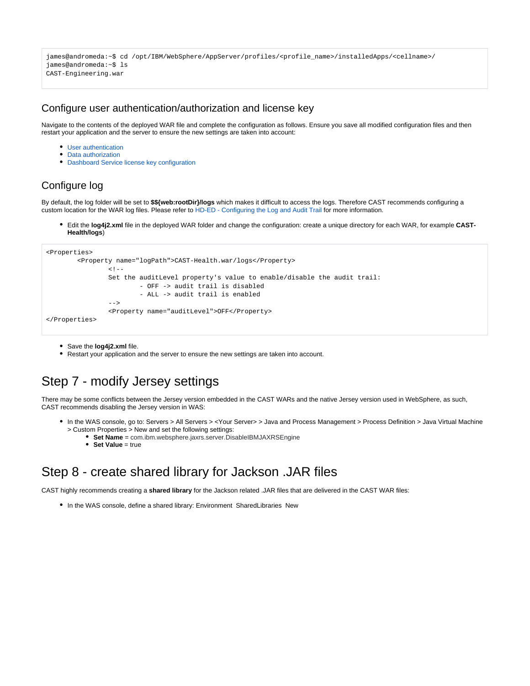```
james@andromeda:~$ cd /opt/IBM/WebSphere/AppServer/profiles/<profile_name>/installedApps/<cellname>/
james@andromeda:~$ ls
CAST-Engineering.war
```
### <span id="page-8-0"></span>Configure user authentication/authorization and license key

Navigate to the contents of the deployed WAR file and complete the configuration as follows. Ensure you save all modified configuration files and then restart your application and the server to ensure the new settings are taken into account:

- **[User authentication](https://doc.castsoftware.com/display/DASHBOARDS/User+authentication)**
- [Data authorization](https://doc.castsoftware.com/display/DASHBOARDS/Data+authorization)
- [Dashboard Service license key configuration](https://doc.castsoftware.com/display/DASHBOARDS/Dashboard+Service+license+key+configuration)

## <span id="page-8-1"></span>Configure log

By default, the log folder will be set to **\$\${web:rootDir}/logs** which makes it difficult to access the logs. Therefore CAST recommends configuring a custom location for the WAR log files. Please refer to [HD-ED - Configuring the Log and Audit Trail](https://doc.castsoftware.com/display/DOC83/HD-ED+-+Configuring+the+Log+and+Audit+Trail) for more information.

Edit the **log4j2.xml** file in the deployed WAR folder and change the configuration: create a unique directory for each WAR, for example **CAST-Health/logs**)

```
<Properties>
         <Property name="logPath">CAST-Health.war/logs</Property>
                <! - Set the auditLevel property's value to enable/disable the audit trail:
                         - OFF -> audit trail is disabled
                         - ALL -> audit trail is enabled
                --& <Property name="auditLevel">OFF</Property>
</Properties>
```
- Save the **log4j2.xml** file.
- Restart your application and the server to ensure the new settings are taken into account.

## <span id="page-8-2"></span>Step 7 - modify Jersey settings

There may be some conflicts between the Jersey version embedded in the CAST WARs and the native Jersey version used in WebSphere, as such, CAST recommends disabling the Jersey version in WAS:

- In the WAS console, go to: Servers > All Servers > <Your Server> > Java and Process Management > Process Definition > Java Virtual Machine > Custom Properties > New and set the following settings:
	- **Set Name** = com.ibm.websphere.jaxrs.server.DisableIBMJAXRSEngine
	- **Set Value** = true

## <span id="page-8-3"></span>Step 8 - create shared library for Jackson .JAR files

CAST highly recommends creating a **shared library** for the Jackson related .JAR files that are delivered in the CAST WAR files:

• In the WAS console, define a shared library: Environment SharedLibraries New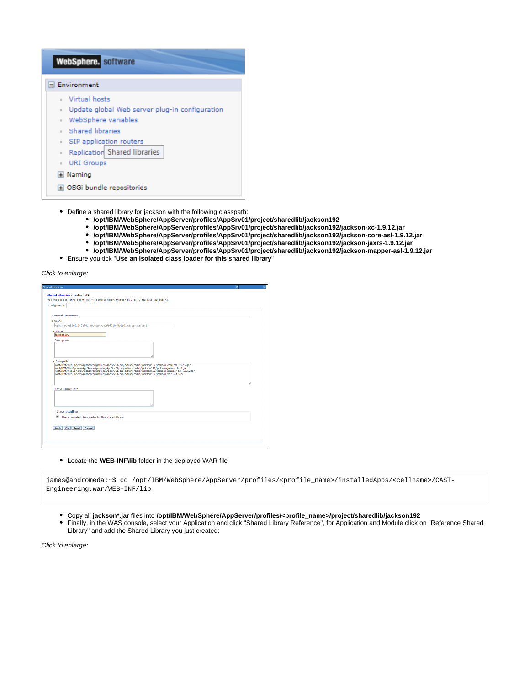| WebSphere. software                            |
|------------------------------------------------|
| Environment                                    |
| - Virtual hosts                                |
| Update global Web server plug-in configuration |
| · WebSphere variables                          |
| Shared libraries                               |
| SIP application routers                        |
| Replication Shared libraries                   |
| <b>URI Groups</b><br>$\mathbb{R}^n$            |
| El Naming                                      |
| OSGi bundle repositories                       |

- Define a shared library for jackson with the following classpath:
	- **/opt/IBM/WebSphere/AppServer/profiles/AppSrv01/project/sharedlib/jackson192**
	- **/opt/IBM/WebSphere/AppServer/profiles/AppSrv01/project/sharedlib/jackson192/jackson-xc-1.9.12.jar**
	- **/opt/IBM/WebSphere/AppServer/profiles/AppSrv01/project/sharedlib/jackson192/jackson-core-asl-1.9.12.jar**
	- **/opt/IBM/WebSphere/AppServer/profiles/AppSrv01/project/sharedlib/jackson192/jackson-jaxrs-1.9.12.jar**
	- **/opt/IBM/WebSphere/AppServer/profiles/AppSrv01/project/sharedlib/jackson192/jackson-mapper-asl-1.9.12.jar**
- Ensure you tick "**Use an isolated class loader for this shared library**"

### Click to enlarge:

| <b>Shared Libraries</b>                                                                                                                                                                                                                                                                                                |  |
|------------------------------------------------------------------------------------------------------------------------------------------------------------------------------------------------------------------------------------------------------------------------------------------------------------------------|--|
| <b>Shared Libraries &gt; jackson192</b>                                                                                                                                                                                                                                                                                |  |
| Use this page to define a container-wide shared library that can be used by deployed applications.                                                                                                                                                                                                                     |  |
| Configuration                                                                                                                                                                                                                                                                                                          |  |
|                                                                                                                                                                                                                                                                                                                        |  |
|                                                                                                                                                                                                                                                                                                                        |  |
| <b>General Properties</b>                                                                                                                                                                                                                                                                                              |  |
| * Scope                                                                                                                                                                                                                                                                                                                |  |
| cells:mopyz6160104Cell01:nodes:mopyz6160104Node01:servers:server1                                                                                                                                                                                                                                                      |  |
| $+$ Name                                                                                                                                                                                                                                                                                                               |  |
| ackson192                                                                                                                                                                                                                                                                                                              |  |
| Description                                                                                                                                                                                                                                                                                                            |  |
|                                                                                                                                                                                                                                                                                                                        |  |
|                                                                                                                                                                                                                                                                                                                        |  |
|                                                                                                                                                                                                                                                                                                                        |  |
| + Classpath                                                                                                                                                                                                                                                                                                            |  |
| /opt/IBM/WebSphere/AppServer/profiles/AppSrv01/project/sharedlib/jackson192/jackson-jaxrs-1.9.12.jar<br>/opt/IBM/WebSphere/AppServer/profiles/AppSrv01/project/sharedlib/jackson192/jackson-mapper-asl-1.9.12.jar<br>/opt/IBM/WebSphere/AppServer/profiles/AppSrv01/project/sharedlib/jackson192/jackson-xc-1.9.12.jar |  |
| Native Library Path                                                                                                                                                                                                                                                                                                    |  |
|                                                                                                                                                                                                                                                                                                                        |  |
|                                                                                                                                                                                                                                                                                                                        |  |
| <b>Class Loading</b>                                                                                                                                                                                                                                                                                                   |  |
| ☞<br>Use an isolated class loader for this shared library                                                                                                                                                                                                                                                              |  |
|                                                                                                                                                                                                                                                                                                                        |  |
| Apply   OK   Reset   Cancel                                                                                                                                                                                                                                                                                            |  |
|                                                                                                                                                                                                                                                                                                                        |  |
|                                                                                                                                                                                                                                                                                                                        |  |
|                                                                                                                                                                                                                                                                                                                        |  |
|                                                                                                                                                                                                                                                                                                                        |  |

### Locate the **WEB-INF\lib** folder in the deployed WAR file

james@andromeda:~\$ cd /opt/IBM/WebSphere/AppServer/profiles/<profile\_name>/installedApps/<cellname>/CAST-Engineering.war/WEB-INF/lib

- Copy all **jackson\*.jar** files into **/opt/IBM/WebSphere/AppServer/profiles/<profile\_name>/project/sharedlib/jackson192**
- Finally, in the WAS console, select your Application and click "Shared Library Reference", for Application and Module click on "Reference Shared Library" and add the Shared Library you just created: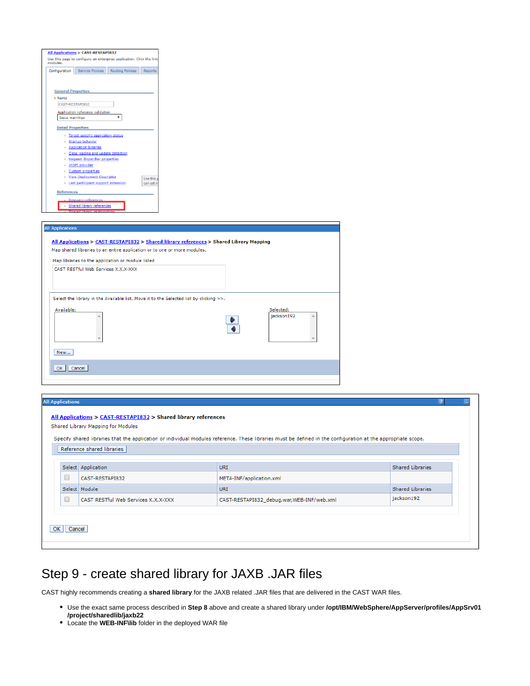| modules.                  |                                                                                          | Use this page to configure an enterprise application. Click the link |                                                                          |                                                                                        |                                                                                         |                         |  |
|---------------------------|------------------------------------------------------------------------------------------|----------------------------------------------------------------------|--------------------------------------------------------------------------|----------------------------------------------------------------------------------------|-----------------------------------------------------------------------------------------|-------------------------|--|
|                           | Configuration Service Policies Routing Policies Reports                                  |                                                                      |                                                                          |                                                                                        |                                                                                         |                         |  |
| <b>General Properties</b> |                                                                                          |                                                                      |                                                                          |                                                                                        |                                                                                         |                         |  |
| + Name                    |                                                                                          |                                                                      |                                                                          |                                                                                        |                                                                                         |                         |  |
| CAST-RESTAPIB32           |                                                                                          |                                                                      |                                                                          |                                                                                        |                                                                                         |                         |  |
| Issue warnings            | Application reference validation                                                         | ۰                                                                    |                                                                          |                                                                                        |                                                                                         |                         |  |
| <b>Detail Properties</b>  |                                                                                          |                                                                      |                                                                          |                                                                                        |                                                                                         |                         |  |
|                           | · Target specific application status<br>· Startup behavior                               |                                                                      |                                                                          |                                                                                        |                                                                                         |                         |  |
|                           | - Application binaries                                                                   |                                                                      |                                                                          |                                                                                        |                                                                                         |                         |  |
|                           | · Class loading and update detection                                                     |                                                                      |                                                                          |                                                                                        |                                                                                         |                         |  |
|                           | <b>Request dispatcher properties</b>                                                     |                                                                      |                                                                          |                                                                                        |                                                                                         |                         |  |
|                           | · IASPI provider                                                                         |                                                                      |                                                                          |                                                                                        |                                                                                         |                         |  |
|                           | · Custom properties<br>- View Deployment Descriptor                                      |                                                                      |                                                                          |                                                                                        |                                                                                         |                         |  |
|                           | <b>Lest perticipent support extension</b>                                                |                                                                      | Use this<br>can set i                                                    |                                                                                        |                                                                                         |                         |  |
| References                |                                                                                          |                                                                      |                                                                          |                                                                                        |                                                                                         |                         |  |
|                           | Resource reference                                                                       |                                                                      |                                                                          |                                                                                        |                                                                                         |                         |  |
|                           | - Shared library references                                                              |                                                                      |                                                                          |                                                                                        |                                                                                         |                         |  |
|                           |                                                                                          |                                                                      |                                                                          |                                                                                        |                                                                                         |                         |  |
|                           |                                                                                          |                                                                      |                                                                          |                                                                                        |                                                                                         |                         |  |
|                           |                                                                                          |                                                                      | Map shared libraries to an entire application or to one or more modules. |                                                                                        | All Applications > CAST-RESTAPI832 > Shared library references > Shared Library Mapping |                         |  |
|                           | Map libraries to the application or module listed<br>CAST RESTful Web Services X.X.X-XXX |                                                                      |                                                                          |                                                                                        |                                                                                         |                         |  |
| <b>All Applications</b>   |                                                                                          |                                                                      |                                                                          | Select the library in the Available list. Move it to the Selected list by clicking >>. |                                                                                         |                         |  |
| Available:                |                                                                                          |                                                                      |                                                                          |                                                                                        |                                                                                         | Selected:<br>jackson192 |  |
| New                       |                                                                                          |                                                                      |                                                                          |                                                                                        |                                                                                         |                         |  |
| OK                        | Cancel                                                                                   |                                                                      |                                                                          |                                                                                        |                                                                                         |                         |  |
|                           |                                                                                          |                                                                      |                                                                          |                                                                                        |                                                                                         |                         |  |
|                           |                                                                                          |                                                                      |                                                                          |                                                                                        |                                                                                         |                         |  |
| <b>All Applications</b>   |                                                                                          |                                                                      |                                                                          |                                                                                        |                                                                                         |                         |  |

on at the appropriate scope. Reference shared libraries URI Shared Libraries Select Application  $\Box$ CAST-RESTAPI832 META-INF/application.xml URI Shared Libraries Select Module CAST RESTful Web Services X.X.X-XXX CAST-RESTAPI832\_debug.war,WEB-INF/web.xml jackson192  $\Box$ OK Cancel

# <span id="page-10-0"></span>Step 9 - create shared library for JAXB .JAR files

CAST highly recommends creating a **shared library** for the JAXB related .JAR files that are delivered in the CAST WAR files.

- Use the exact same process described in **Step 8** above and create a shared library under **/opt/IBM/WebSphere/AppServer/profiles/AppSrv01 /project/sharedlib/jaxb22**
- Locate the **WEB-INF\lib** folder in the deployed WAR file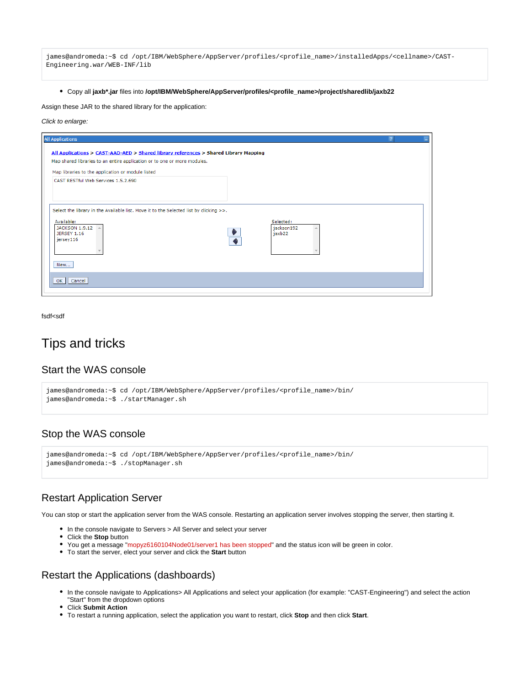james@andromeda:~\$ cd /opt/IBM/WebSphere/AppServer/profiles/<profile\_name>/installedApps/<cellname>/CAST-Engineering.war/WEB-INF/lib

Copy all **jaxb\*.jar** files into **/opt/IBM/WebSphere/AppServer/profiles/<profile\_name>/project/sharedlib/jaxb22**

Assign these JAR to the shared library for the application:

### Click to enlarge:

| <b>All Applications</b>                                                                                                                                          |  |
|------------------------------------------------------------------------------------------------------------------------------------------------------------------|--|
| All Applications > CAST-AAD-AED > Shared library references > Shared Library Mapping<br>Map shared libraries to an entire application or to one or more modules. |  |
| Map libraries to the application or module listed                                                                                                                |  |
| CAST RESTful Web Services 1.5.2.690                                                                                                                              |  |
| Select the library in the Available list. Move it to the Selected list by clicking $>>$ .                                                                        |  |
| Available:<br>Selected:<br>jackson192<br><b>JACKSON 1.9.12</b><br><b>JERSEY 1.16</b><br>jaxb22<br>jersey116                                                      |  |
| New                                                                                                                                                              |  |
| OK Cancel                                                                                                                                                        |  |
|                                                                                                                                                                  |  |

fsdf<sdf

## <span id="page-11-0"></span>Tips and tricks

### <span id="page-11-1"></span>Start the WAS console

```
james@andromeda:~$ cd /opt/IBM/WebSphere/AppServer/profiles/<profile_name>/bin/
james@andromeda:~$ ./startManager.sh
```
### <span id="page-11-2"></span>Stop the WAS console

james@andromeda:~\$ cd /opt/IBM/WebSphere/AppServer/profiles/<profile\_name>/bin/ james@andromeda:~\$ ./stopManager.sh

### <span id="page-11-3"></span>Restart Application Server

You can stop or start the application server from the WAS console. Restarting an application server involves stopping the server, then starting it.

- In the console navigate to Servers > All Server and select your server
- Click the **Stop** button
- You get a message "mopyz6160104Node01/server1 has been stopped" and the status icon will be green in color.
- To start the server, elect your server and click the **Start** button

### <span id="page-11-4"></span>Restart the Applications (dashboards)

- In the console navigate to Applications> All Applications and select your application (for example: "CAST-Engineering") and select the action "Start" from the dropdown options
- Click **Submit Action**
- To restart a running application, select the application you want to restart, click **Stop** and then click **Start**.